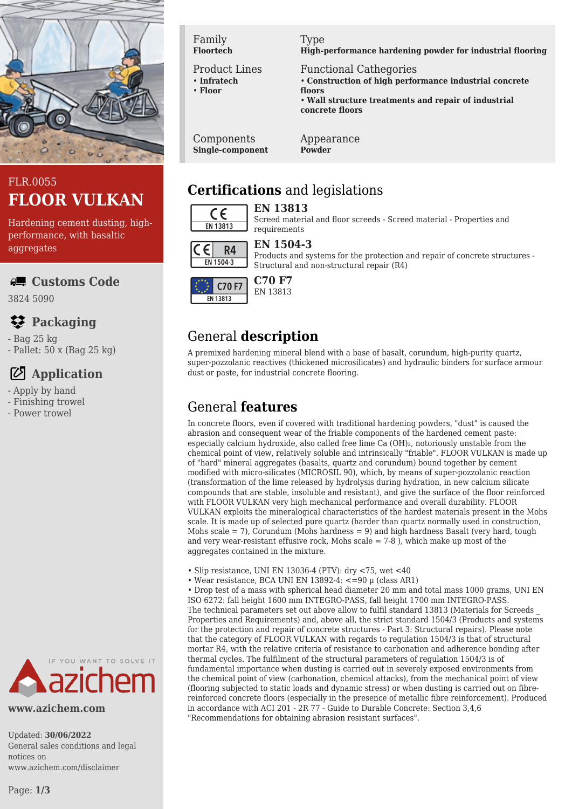

# FLR.0055 **FLOOR VULKAN**

Hardening cement dusting, highperformance, with basaltic aggregates

**Customs Code**

3824 5090

# **Packaging**

- Bag 25 kg

- Pallet: 50 x (Bag 25 kg)

## **Application**

- Apply by hand
- Finishing trowel
- Power trowel



**www.azichem.com**

Updated: **30/06/2022** General sales conditions and legal notices on www.azichem.com/disclaimer

Page: **1/3**

Family **Floortech**

#### Product Lines

• **Infratech** • **Floor**

Type

**High-performance hardening powder for industrial flooring**

Functional Cathegories • **Construction of high performance industrial concrete floors** • **Wall structure treatments and repair of industrial concrete floors**

Components **Single-component** Appearance **Powder**

# **Certifications** and legislations

requirements

### $\epsilon$ EN 13813

#### **EN 13813** Screed material and floor screeds - Screed material - Properties and



#### **EN 1504-3**

Products and systems for the protection and repair of concrete structures - Structural and non-structural repair (R4)



#### **C70 F7** EN 13813

# General **description**

A premixed hardening mineral blend with a base of basalt, corundum, high-purity quartz, super-pozzolanic reactives (thickened microsilicates) and hydraulic binders for surface armour dust or paste, for industrial concrete flooring.

## General **features**

In concrete floors, even if covered with traditional hardening powders, "dust" is caused the abrasion and consequent wear of the friable components of the hardened cement paste: especially calcium hydroxide, also called free lime Ca (OH)₂, notoriously unstable from the chemical point of view, relatively soluble and intrinsically "friable". FLOOR VULKAN is made up of "hard" mineral aggregates (basalts, quartz and corundum) bound together by cement modified with micro-silicates (MICROSIL 90), which, by means of super-pozzolanic reaction (transformation of the lime released by hydrolysis during hydration, in new calcium silicate compounds that are stable, insoluble and resistant), and give the surface of the floor reinforced with FLOOR VULKAN very high mechanical performance and overall durability. FLOOR VULKAN exploits the mineralogical characteristics of the hardest materials present in the Mohs scale. It is made up of selected pure quartz (harder than quartz normally used in construction, Mohs scale  $= 7$ ), Corundum (Mohs hardness  $= 9$ ) and high hardness Basalt (very hard, tough and very wear-resistant effusive rock, Mohs scale  $= 7-8$ ), which make up most of the aggregates contained in the mixture.

- Slip resistance, UNI EN 13036-4 (PTV): dry <75, wet <40
- Wear resistance, BCA UNI EN 13892-4: <=90 μ (class AR1)

• Drop test of a mass with spherical head diameter 20 mm and total mass 1000 grams, UNI EN ISO 6272: fall height 1600 mm INTEGRO-PASS, fall height 1700 mm INTEGRO-PASS. The technical parameters set out above allow to fulfil standard 13813 (Materials for Screeds \_ Properties and Requirements) and, above all, the strict standard 1504/3 (Products and systems for the protection and repair of concrete structures - Part 3: Structural repairs). Please note that the category of FLOOR VULKAN with regards to regulation 1504/3 is that of structural mortar R4, with the relative criteria of resistance to carbonation and adherence bonding after thermal cycles. The fulfilment of the structural parameters of regulation 1504/3 is of fundamental importance when dusting is carried out in severely exposed environments from the chemical point of view (carbonation, chemical attacks), from the mechanical point of view (flooring subjected to static loads and dynamic stress) or when dusting is carried out on fibrereinforced concrete floors (especially in the presence of metallic fibre reinforcement). Produced in accordance with ACI 201 - 2R 77 - Guide to Durable Concrete: Section 3,4,6 "Recommendations for obtaining abrasion resistant surfaces".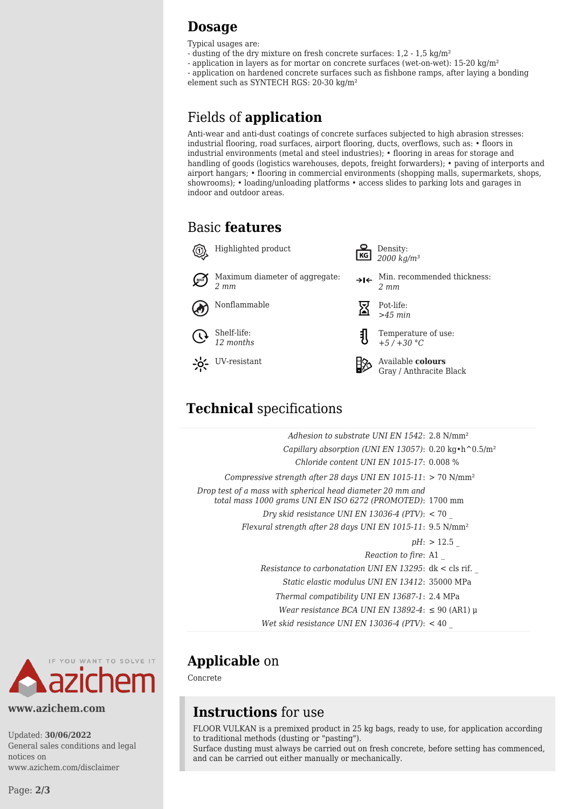### **Dosage**

Typical usages are:

- dusting of the dry mixture on fresh concrete surfaces: 1,2 1,5 kg/m²
- application in layers as for mortar on concrete surfaces (wet-on-wet): 15-20 kg/m²
- application on hardened concrete surfaces such as fishbone ramps, after laying a bonding element such as SYNTECH RGS: 20-30 kg/m²

# Fields of **application**

Anti-wear and anti-dust coatings of concrete surfaces subjected to high abrasion stresses: industrial flooring, road surfaces, airport flooring, ducts, overflows, such as: • floors in industrial environments (metal and steel industries); • flooring in areas for storage and handling of goods (logistics warehouses, depots, freight forwarders); • paving of interports and airport hangars; • flooring in commercial environments (shopping malls, supermarkets, shops, showrooms); • loading/unloading platforms • access slides to parking lots and garages in indoor and outdoor areas.

## Basic **features**



# **Technical** specifications

| Adhesion to substrate UNI EN $1542: 2.8 \text{ N/mm}^2$                                                                 |              |
|-------------------------------------------------------------------------------------------------------------------------|--------------|
| Capillary absorption (UNI EN 13057): 0.20 kg · h ^ 0.5/m <sup>2</sup>                                                   |              |
| Chloride content UNI EN 1015-17: 0.008 %                                                                                |              |
| Compressive strength after 28 days UNI EN 1015-11: $> 70$ N/mm <sup>2</sup>                                             |              |
| Drop test of a mass with spherical head diameter 20 mm and<br>total mass 1000 grams UNI EN ISO 6272 (PROMOTED): 1700 mm |              |
| Dry skid resistance UNI EN 13036-4 (PTV): $<$ 70                                                                        |              |
| Flexural strength after 28 days UNI EN 1015-11: 9.5 N/mm <sup>2</sup>                                                   |              |
|                                                                                                                         | $pH:$ > 12.5 |
| Reaction to fire: A1                                                                                                    |              |
| Resistance to carbonatation UNI EN 13295: $dk <$ cls rif.                                                               |              |
| Static elastic modulus UNI EN 13412: 35000 MPa                                                                          |              |
| Thermal compatibility UNI EN 13687-1: 2.4 MPa                                                                           |              |
| Wear resistance BCA UNI EN 13892-4: $\leq 90$ (AR1) µ                                                                   |              |
| Wet skid resistance UNI EN 13036-4 (PTV): $<$ 40                                                                        |              |



Concrete

### **Instructions** for use

FLOOR VULKAN is a premixed product in 25 kg bags, ready to use, for application according to traditional methods (dusting or "pasting"). Surface dusting must always be carried out on fresh concrete, before setting has commenced, and can be carried out either manually or mechanically.



#### **www.azichem.com**

Updated: **30/06/2022** General sales conditions and legal notices on www.azichem.com/disclaimer